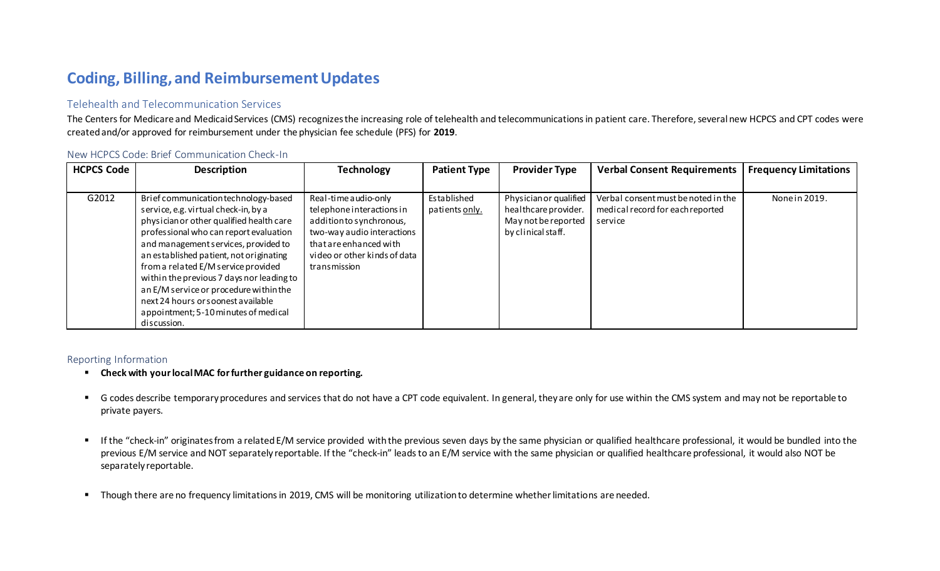# **Coding, Billing, and Reimbursement Updates**

## Telehealth and Telecommunication Services

The Centers for Medicare and Medicaid Services (CMS) recognizes the increasing role of telehealth and telecommunications in patient care. Therefore, several new HCPCS and CPT codes were created and/or approved for reimbursement under the physician fee schedule (PFS) for **2019**.

| <b>HCPCS Code</b> | <b>Description</b>                                                                                                                                                                                                                                                                                                                                                                                                                                                               | <b>Technology</b>                                                                                                                                                                     | <b>Patient Type</b>           | <b>Provider Type</b>                                                                        | <b>Verbal Consent Requirements</b>                                                 | <b>Frequency Limitations</b> |
|-------------------|----------------------------------------------------------------------------------------------------------------------------------------------------------------------------------------------------------------------------------------------------------------------------------------------------------------------------------------------------------------------------------------------------------------------------------------------------------------------------------|---------------------------------------------------------------------------------------------------------------------------------------------------------------------------------------|-------------------------------|---------------------------------------------------------------------------------------------|------------------------------------------------------------------------------------|------------------------------|
|                   |                                                                                                                                                                                                                                                                                                                                                                                                                                                                                  |                                                                                                                                                                                       |                               |                                                                                             |                                                                                    |                              |
| G2012             | Brief communication technology-based<br>service, e.g. virtual check-in, by a<br>physician or other qualified health care<br>professional who can report evaluation<br>and management services, provided to<br>an established patient, not originating<br>from a related E/M service provided<br>within the previous 7 days nor leading to<br>an E/M service or procedure within the<br>next 24 hours or soonest available<br>appointment; 5-10 minutes of medical<br>discussion. | Real-time audio-only<br>telephone interactions in<br>addition to synchronous,<br>two-way audio interactions<br>that are enhanced with<br>video or other kinds of data<br>transmission | Established<br>patients only. | Physician or qualified<br>healthcare provider.<br>May not be reported<br>by clinical staff. | Verbal consent must be noted in the<br>medical record for each reported<br>service | None in 2019.                |

#### New HCPCS Code: Brief Communication Check-In

### Reporting Information

- **Check with your local MAC for further guidance on reporting.**
- G codes describe temporary procedures and services that do not have a CPT code equivalent. In general, they are only for use within the CMS system and may not be reportable to private payers.
- If the "check-in" originates from a related E/M service provided with the previous seven days by the same physician or qualified healthcare professional, it would be bundled into the previous E/M service and NOT separately reportable. If the "check-in" leads to an E/M service with the same physician or qualified healthcare professional, it would also NOT be separately reportable.
- Though there are no frequency limitations in 2019, CMS will be monitoring utilization to determine whether limitations are needed.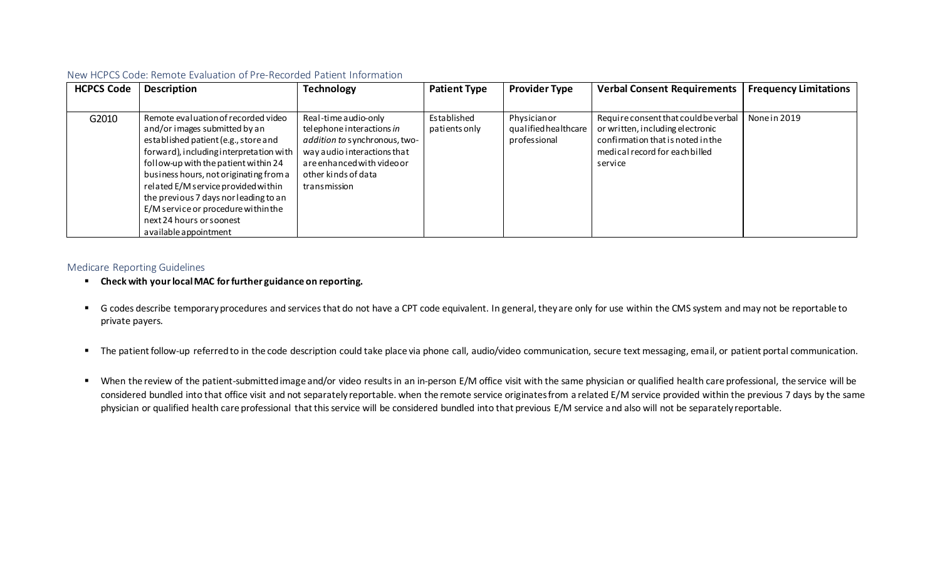| <b>HCPCS Code</b> | <b>Description</b>                                                                                                                                                                                                                                                                                                                                                                                                     | <b>Technology</b>                                                                                                                                                                      | <b>Patient Type</b>          | <b>Provider Type</b>                                | <b>Verbal Consent Requirements</b>                                                                                                                         | <b>Frequency Limitations</b> |
|-------------------|------------------------------------------------------------------------------------------------------------------------------------------------------------------------------------------------------------------------------------------------------------------------------------------------------------------------------------------------------------------------------------------------------------------------|----------------------------------------------------------------------------------------------------------------------------------------------------------------------------------------|------------------------------|-----------------------------------------------------|------------------------------------------------------------------------------------------------------------------------------------------------------------|------------------------------|
|                   |                                                                                                                                                                                                                                                                                                                                                                                                                        |                                                                                                                                                                                        |                              |                                                     |                                                                                                                                                            |                              |
| G2010             | Remote evaluation of recorded video<br>and/or images submitted by an<br>established patient (e.g., store and<br>forward), including interpretation with<br>follow-up with the patient within 24<br>business hours, not originating from a<br>related E/M service provided within<br>the previous 7 days nor leading to an<br>E/M service or procedure within the<br>next 24 hours or soonest<br>a vailable appointment | Real-time audio-only<br>telephone interactions in<br>addition to synchronous, two-<br>way audio interactions that<br>are enhanced with video or<br>other kinds of data<br>transmission | Established<br>patients only | Physicianor<br>qualified healthcare<br>professional | Require consent that could be verbal<br>or written, including electronic<br>confirmation that is noted in the<br>medical record for each billed<br>service | None in 2019                 |

#### New HCPCS Code: Remote Evaluation of Pre-Recorded Patient Information

#### Medicare Reporting Guidelines

- **Check with your local MAC for further guidance on reporting.**
- G codes describe temporary procedures and services that do not have a CPT code equivalent. In general, they are only for use within the CMS system and may not be reportable to private payers.
- The patient follow-up referred to in the code description could take place via phone call, audio/video communication, secure text messaging, email, or patient portal communication.
- When the review of the patient-submitted image and/or video results in an in-person E/M office visit with the same physician or qualified health care professional, the service will be considered bundled into that office visit and not separately reportable. when the remote service originates from a related E/M service provided within the previous 7 days by the same physician or qualified health care professional that this service will be considered bundled into that previous E/M service and also will not be separately reportable.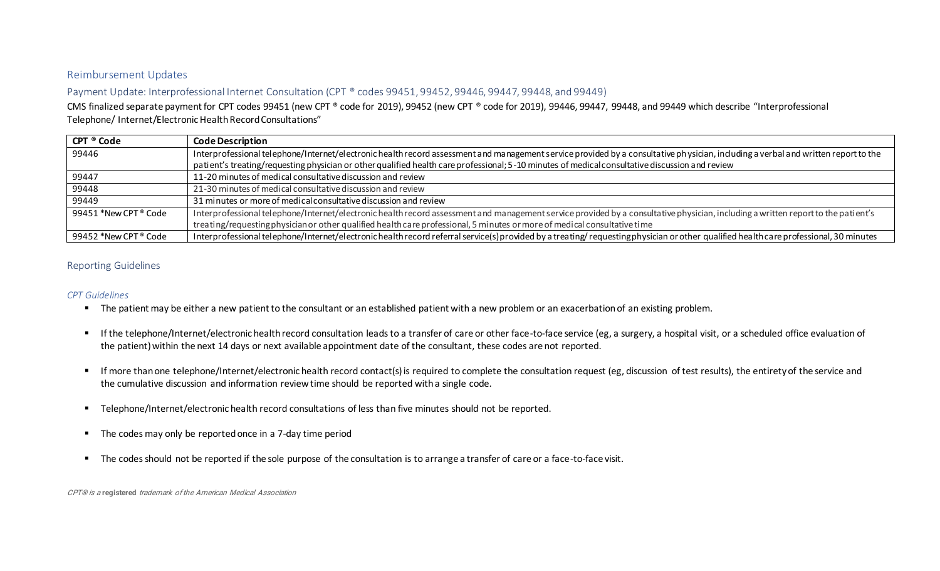#### Reimbursement Updates

Payment Update: Interprofessional Internet Consultation (CPT ® codes 99451, 99452, 99446, 99447, 99448, and 99449)

CMS finalized separate payment for CPT codes 99451 (new CPT ® code for 2019), 99452 (new CPT ® code for 2019), 99446, 99447, 99448, and 99449 which describe "Interprofessional Telephone/ Internet/Electronic Health Record Consultations"

| CPT ® Code            | <b>Code Description</b>                                                                                                                                                                |
|-----------------------|----------------------------------------------------------------------------------------------------------------------------------------------------------------------------------------|
| 99446                 | Interprofessional telephone/Internet/electronic health record assessment and management service provided by a consultative physician, including a verbal and written report to the     |
|                       | patient's treating/requesting physician or other qualified health care professional; 5-10 minutes of medical consultative discussion and review                                        |
| 99447                 | 11-20 minutes of medical consultative discussion and review                                                                                                                            |
| 99448                 | 21-30 minutes of medical consultative discussion and review                                                                                                                            |
| 99449                 | 31 minutes or more of medical consultative discussion and review                                                                                                                       |
| 99451 *New CPT ® Code | Interprofessional telephone/Internet/electronic health record assessment and management service provided by a consultative physician, including a written report to the patient's      |
|                       | treating/requestingphysician or other qualified health care professional, 5 minutes or more of medical consultative time                                                               |
| 99452 *New CPT ® Code | Interprofessional telephone/Internet/electronic health record referral service(s) provided by a treating/ requesting physician or other qualified health care professional, 30 minutes |

### Reporting Guidelines

#### *CPT Guidelines*

- The patient may be either a new patient to the consultant or an established patient with a new problem or an exacerbation of an existing problem.
- If the telephone/Internet/electronic health record consultation leads to a transfer of care or other face-to-face service (eg, a surgery, a hospital visit, or a scheduled office evaluation of the patient) within the next 14 days or next available appointment date of the consultant, these codes are not reported.
- If more than one telephone/Internet/electronic health record contact(s) is required to complete the consultation request (eg, discussion of test results), the entirety of the service and the cumulative discussion and information review time should be reported with a single code.
- Telephone/Internet/electronic health record consultations of less than five minutes should not be reported.
- The codes may only be reported once in a 7-day time period
- The codes should not be reported if the sole purpose of the consultation is to arrange a transfer of care or a face-to-face visit.

CPT® is a **registered** trademark of the American Medical Association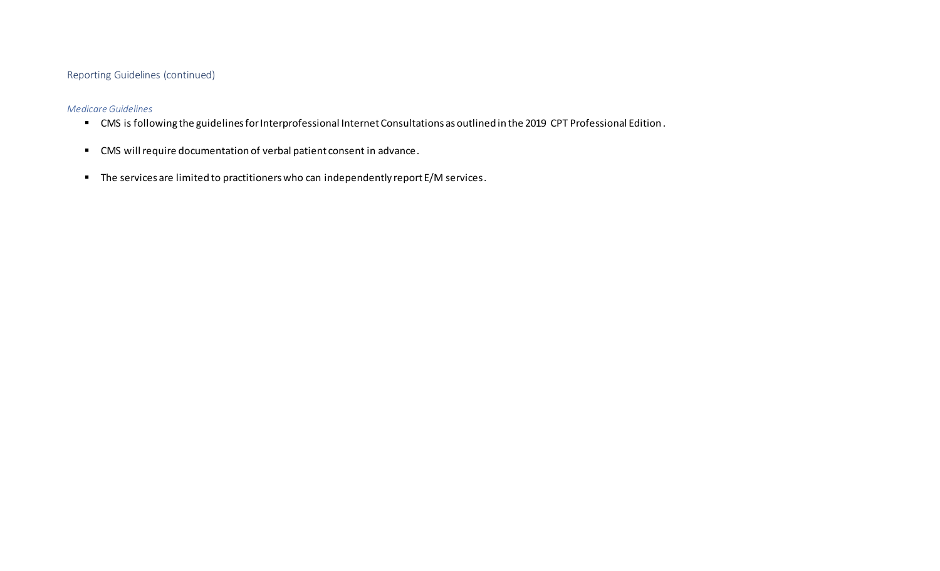### Reporting Guidelines (continued)

#### *Medicare Guidelines*

- CMS is following the guidelines for Interprofessional Internet Consultations as outlined in the 2019 CPT Professional Edition.
- CMS will require documentation of verbal patient consent in advance.
- The services are limited to practitioners who can independently report E/M services.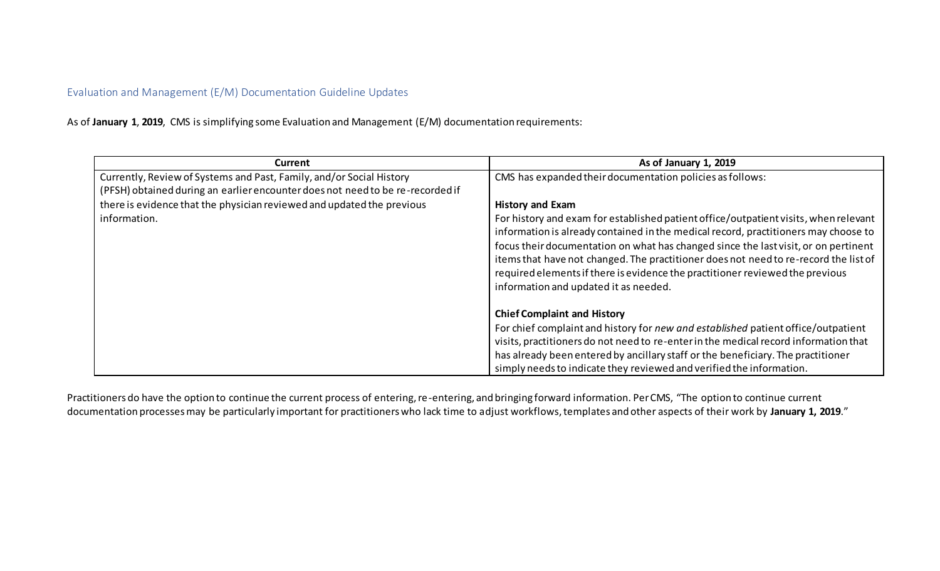## Evaluation and Management (E/M) Documentation Guideline Updates

As of **January 1**, **2019**, CMS is simplifying some Evaluation and Management (E/M) documentation requirements:

| <b>Current</b>                                                                 | As of January 1, 2019                                                                |
|--------------------------------------------------------------------------------|--------------------------------------------------------------------------------------|
| Currently, Review of Systems and Past, Family, and/or Social History           | CMS has expanded their documentation policies as follows:                            |
| (PFSH) obtained during an earlier encounter does not need to be re-recorded if |                                                                                      |
| there is evidence that the physician reviewed and updated the previous         | <b>History and Exam</b>                                                              |
| information.                                                                   | For history and exam for established patient office/outpatient visits, when relevant |
|                                                                                | information is already contained in the medical record, practitioners may choose to  |
|                                                                                | focus their documentation on what has changed since the last visit, or on pertinent  |
|                                                                                | items that have not changed. The practitioner does not need to re-record the list of |
|                                                                                | required elements if there is evidence the practitioner reviewed the previous        |
|                                                                                | information and updated it as needed.                                                |
|                                                                                |                                                                                      |
|                                                                                | <b>Chief Complaint and History</b>                                                   |
|                                                                                | For chief complaint and history for new and established patient office/outpatient    |
|                                                                                | visits, practitioners do not need to re-enter in the medical record information that |
|                                                                                | has already been entered by ancillary staff or the beneficiary. The practitioner     |
|                                                                                | simply needs to indicate they reviewed and verified the information.                 |

Practitioners do have the option to continue the current process of entering, re-entering, and bringing forward information. PerCMS, "The option to continue current documentation processes may be particularly important for practitioners who lack time to adjust workflows, templates and other aspects of their work by **January 1, 2019**."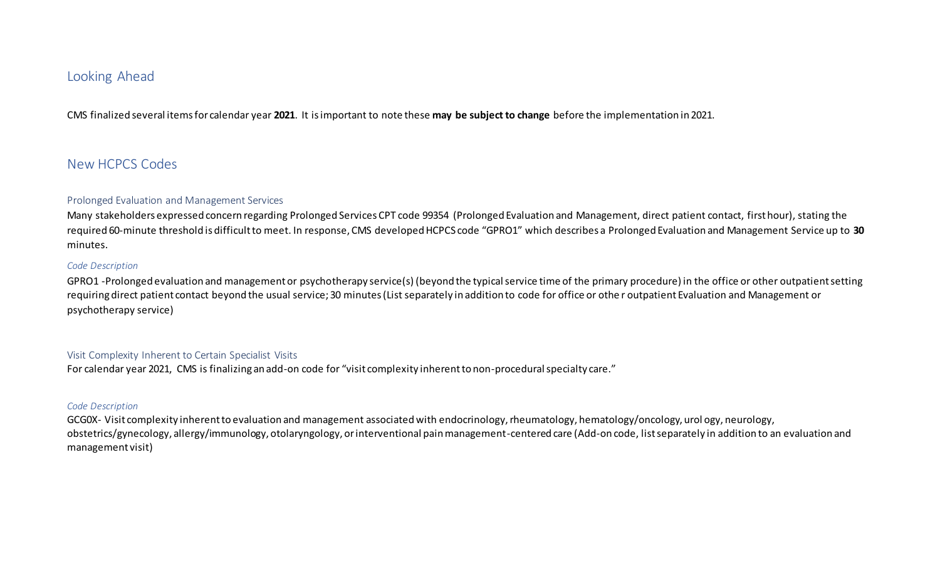# Looking Ahead

CMS finalized several items for calendar year **2021**. It is important to note these **may be subject to change** before the implementation in 2021.

# New HCPCS Codes

#### Prolonged Evaluation and Management Services

Many stakeholders expressed concern regarding Prolonged Services CPT code 99354 (Prolonged Evaluation and Management, direct patient contact, first hour), stating the required 60-minute threshold is difficult to meet. In response, CMS developed HCPCS code "GPRO1" which describes a Prolonged Evaluation and Management Service up to **30** minutes.

#### *Code Description*

GPRO1 -Prolonged evaluation and management or psychotherapy service(s) (beyond the typical service time of the primary procedure) in the office or other outpatient setting requiring direct patient contact beyond the usual service; 30 minutes (List separately in addition to code for office or othe r outpatient Evaluation and Management or psychotherapy service)

#### Visit Complexity Inherent to Certain Specialist Visits

For calendar year 2021, CMS is finalizing an add-on code for "visit complexity inherent to non-procedural specialty care."

#### *Code Description*

GCG0X- Visit complexity inherent to evaluation and management associated with endocrinology, rheumatology, hematology/oncology, urol ogy, neurology, obstetrics/gynecology, allergy/immunology, otolaryngology, or interventional pain management-centered care (Add-on code, list separately in addition to an evaluation and management visit)